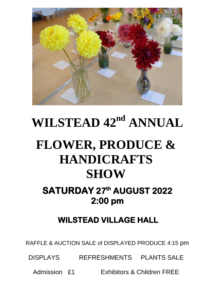

# **WILSTEAD**  $42^{nd}$  **ANNUAL FLOWER, PRODUCE & HANDICRAFTS SHOW**

# **SATURDAY 27th AUGUST 2022 2:00 pm**

# **WILSTEAD VILLAGE HALL**

RAFFLE & AUCTION SALE of DISPLAYED PRODUCE 4:15 pm

DISPLAYS REFRESHMENTS PLANTS SALE

Admission £1 Exhibitors & Children FREE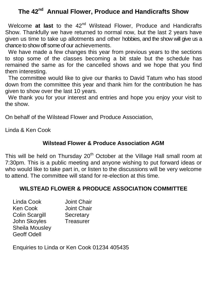# **The 42nd Annual Flower, Produce and Handicrafts Show**

Welcome at last to the 42<sup>nd</sup> Wilstead Flower, Produce and Handicrafts Show. Thankfully we have returned to normal now, but the last 2 years have given us time to take up allotments and other hobbies, and the show will give us a chance to show off some of our achievements.

 We have made a few changes this year from previous years to the sections to stop some of the classes becoming a bit stale but the schedule has remained the same as for the cancelled shows and we hope that you find them interesting.

 The committee would like to give our thanks to David Tatum who has stood down from the committee this year and thank him for the contribution he has given to show over the last 10 years.

We thank you for your interest and entries and hope you enjoy your visit to the show.

On behalf of the Wilstead Flower and Produce Association,

Linda & Ken Cook

### **Wilstead Flower & Produce Association AGM**

This will be held on Thursday 20<sup>th</sup> October at the Village Hall small room at 7:30pm. This is a public meeting and anyone wishing to put forward ideas or who would like to take part in, or listen to the discussions will be very welcome to attend. The committee will stand for re-election at this time.

# **WILSTEAD FLOWER & PRODUCE ASSOCIATION COMMITTEE**

| Linda Cook            | <b>Joint Chair</b> |
|-----------------------|--------------------|
| <b>Ken Cook</b>       | <b>Joint Chair</b> |
| <b>Colin Scargill</b> | Secretary          |
| John Skoyles          | <b>Treasurer</b>   |
| <b>Sheila Mousley</b> |                    |
| <b>Geoff Odell</b>    |                    |

Enquiries to Linda or Ken Cook 01234 405435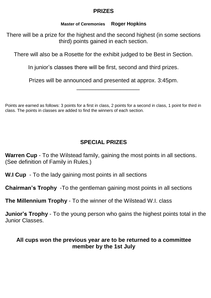### **PRIZES**

#### **Master of Ceremonies Roger Hopkins**

There will be a prize for the highest and the second highest (in some sections third) points gained in each section.

There will also be a Rosette for the exhibit judged to be Best in Section.

In junior's classes there will be first, second and third prizes.

Prizes will be announced and presented at approx. 3:45pm.

\_\_\_\_\_\_\_\_\_\_\_\_\_\_\_\_\_\_\_\_

Points are earned as follows: 3 points for a first in class, 2 points for a second in class, 1 point for third in class. The points in classes are added to find the winners of each section.

# **SPECIAL PRIZES**

**Warren Cup** - To the Wilstead family, gaining the most points in all sections. (See definition of Family in Rules.)

**W.I Cup** - To the lady gaining most points in all sections

**Chairman's Trophy** -To the gentleman gaining most points in all sections

**The Millennium Trophy** - To the winner of the Wilstead W.I. class

**Junior's Trophy** - To the young person who gains the highest points total in the Junior Classes.

# **All cups won the previous year are to be returned to a committee member by the 1st July**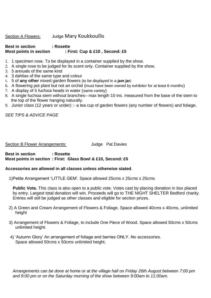#### Section A Flowers: Judge Mary Koukkoullis

#### **Best in section : Rosette Most points in section : First: Cup & £10 , Second: £5**

- 1. 1 specimen rose. To be displayed in a container supplied by the show.
- 2. A single rose to be judged for its scent only. Container supplied by the show.
- 3. 5 annuals of the same kind
- 4. 3 dahlias of the same type and colour
- 5. 5 of **any other** mixed garden flowers (to be displayed in a **jam jar**)
- 6. A flowering pot plant but not an orchid (must have been owned by exhibitor for at least 6 months)
- 7. A display of 5 fuchsia heads in water (same variety)
- 8. A single fuchsia stem without branches– max length 10 ins. measured from the base of the stem to the top of the flower hanging naturally.
- 9. Junior class (12 years or under) :- a tea cup of garden flowers (any number of flowers) and foliage.

*SEE TIPS & ADVICE PAGE*

Section B Flower Arrangements: Judge Pat Davies

**Best in section : Rosette Most points in section : First: Glass Bowl & £10, Second: £5**

#### **Accessories are allowed in all classes unless otherwise stated**.

1)Petite Arrangement 'LITTLE GEM'. Space allowed 25cms x 25cms x 25cms

**Public Vote.** This class is also open to a public vote. Votes cast by placing donation in box placed by entry. Largest total donation will win. Proceeds will go to THE NIGHT SHELTER Bedford charity. Entries will still be judged as other classes and eligible for section prizes.

- 2) A Green and Cream Arrangement of Flowers & Foliage. Space allowed 40cms x 40cms, unlimited height
- 3) Arrangement of Flowers & Foliage, to include One Piece of Wood. Space allowed 50cms x 50cms unlimited height.
- 4) 'Autumn Glory' An arrangement of foliage and berries ONLY. No accessories. Space allowed 50cms x 50cms unlimited height.

*Arrangements can be done at home or at the village hall on Friday 26th August between 7:00 pm and 9:00 pm or on the Saturday morning of the show between 9:00am to 11:00am.*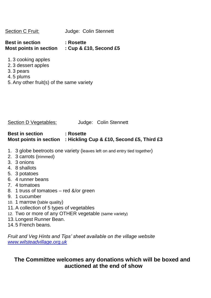| Section C Fruit: | Judge: Colin Stennett |  |
|------------------|-----------------------|--|
|                  |                       |  |

**Best in section : Rosette Most points in section : Cup & £10, Second £5**

- 1. 3 cooking apples
- 2. 3 dessert apples
- 3. 3 pears
- 4. 5 plums
- 5. Any other fruit(s) of the same variety

Section D Vegetables: Judge: Colin Stennett

#### **Best in section : Rosette Most points in section : Hickling Cup & £10, Second £5, Third £3**

- 1. 3 globe beetroots one variety (leaves left on and entry tied together)
- 2. 3 carrots (trimmed)
- 3. 3 onions
- 4. 8 shallots
- 5. 3 potatoes
- 6. 4 runner beans
- 7. 4 tomatoes
- 8. 1 truss of tomatoes red &/or green
- 9. 1 cucumber
- 10. 1 marrow (table quality)
- 11.A collection of 5 types of vegetables
- 12. Two or more of any OTHER vegetable (same variety)
- 13.Longest Runner Bean.
- 14.5 French beans.

*Fruit and Veg Hints and Tips' sheet available on the village website [www.wilsteadvillage.org.uk](http://www.wilsteadvillage.org.uk/)*

# **The Committee welcomes any donations which will be boxed and auctioned at the end of show**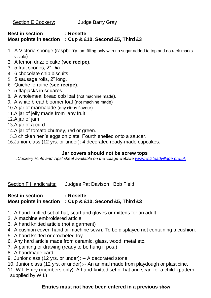Section E Cookery: Judge Barry Gray

#### **Best in section : Rosette Most points in section : Cup & £10, Second £5, Third £3**

- 1. A Victoria sponge (raspberry jam filling only with no sugar added to top and no rack marks visible)
- 2. A lemon drizzle cake (**see recipe**).
- 3. 5 fruit scones, 2" Dia.
- 4. 6 chocolate chip biscuits.
- 5. 5 sausage rolls, 2" long.
- 6. Quiche lorraine (**see recipe).**
- 7. 5 flapjacks in squares.
- 8. A wholemeal bread cob loaf (not machine made).
- 9. A white bread bloomer loaf (not machine made)
- 10.A jar of marmalade (any citrus flavour)
- 11.A jar of jelly made from any fruit
- 12.A jar of jam
- 13.A jar of a curd.
- 14.A jar of tomato chutney, red or green.
- 15.3 chicken hen's eggs on plate. Fourth shelled onto a saucer.
- 16.Junior class (12 yrs. or under): 4 decorated ready-made cupcakes.

#### **Jar covers should not be screw tops**

*.Cookery Hints and Tips' sheet available on the village website [www.wilsteadvillage.org.uk](http://www.wilsteadvillage.org.uk/)*

Section F Handicrafts: Judges Pat Davison Bob Field

#### **Best in section : Rosette Most points in section : Cup & £10, Second £5, Third £3**

- 1. A hand-knitted set of hat, scarf and gloves or mittens for an adult.
- 2. A machine embroidered article.
- 3. A hand knitted article (not a garment)
- 4. A cushion cover, hand or machine sewn. To be displayed not containing a cushion.
- 5. A hand knitted or crocheted toy.
- 6. Any hard article made from ceramic, glass, wood, metal etc.
- 7. A painting or drawing (ready to be hung if pos.)
- 8. A handmade card.
- 9. Junior class (12 yrs. or under): -- A decorated stone.
- 10. Junior class (12 yrs. or under):-- An animal made from playdough or plasticine.
- 11. W.I. Entry (members only). A hand-knitted set of hat and scarf for a child. (pattern supplied by W.I.)

#### **Entries must not have been entered in a previous show**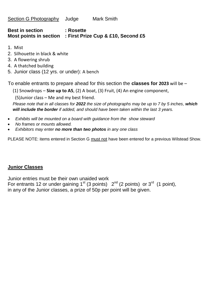#### **Best in section : Rosette Most points in section : First Prize Cup & £10, Second £5**

- 1. Mist
- 2. Silhouette in black & white
- 3. A flowering shrub
- 4. A thatched building
- 5. Junior class (12 yrs. or under): A bench

To enable entrants to prepare ahead for this section the **classes for 2023** will be –

(1) Snowdrops – **Size up to A5**, (2) A boat, (3) Fruit, (4) An engine component,

(5)Junior class – Me and my best friend.

*Please note that in all classes for 2022 the size of photographs may be up to 7 by 5 inches, which will include the border if added, and should have been taken within the last 3 years.*

- *Exhibits will be mounted on a board with guidance from the show steward*
- *No frames or mounts allowed.*
- *Exhibitors may enter no more than two photos in any one class*

PLEASE NOTE: items entered in Section G must not have been entered for a previous Wilstead Show.

#### **Junior Classes**

Junior entries must be their own unaided work For entrants 12 or under gaining 1<sup>st</sup> (3 points)  $2^{nd}$  (2 points) or 3<sup>rd</sup> (1 point), in any of the Junior classes, a prize of 50p per point will be given.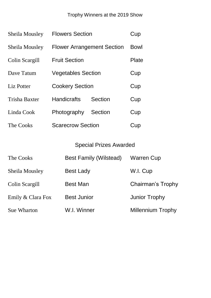Trophy Winners at the 2019 Show

| <b>Sheila Mousley</b> | <b>Flowers Section</b>            |                | Cup         |
|-----------------------|-----------------------------------|----------------|-------------|
| Sheila Mousley        | <b>Flower Arrangement Section</b> |                | <b>Bowl</b> |
| Colin Scargill        | <b>Fruit Section</b>              |                | Plate       |
| Dave Tatum            | <b>Vegetables Section</b>         |                | Cup         |
| Liz Potter            | <b>Cookery Section</b>            |                | Cup         |
| <b>Trisha Baxter</b>  | <b>Handicrafts</b>                | Section        | Cup         |
| Linda Cook            | Photography                       | <b>Section</b> | Cup         |
| The Cooks             | <b>Scarecrow Section</b>          |                | Cup         |

# Special Prizes Awarded

| The Cooks          | <b>Best Family (Wilstead)</b> | <b>Warren Cup</b>        |
|--------------------|-------------------------------|--------------------------|
| Sheila Mousley     | <b>Best Lady</b>              | W.I. Cup                 |
| Colin Scargill     | <b>Best Man</b>               | Chairman's Trophy        |
| Emily & Clara Fox  | <b>Best Junior</b>            | <b>Junior Trophy</b>     |
| <b>Sue Wharton</b> | W.I. Winner                   | <b>Millennium Trophy</b> |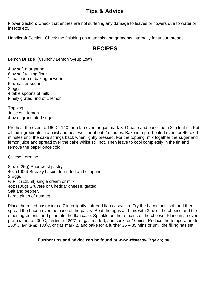# **Tips & Advice**

Flower Section: Check that entries are not suffering any damage to leaves or flowers due to water or insects etc.

Handicraft Section: Check the finishing on materials and garments internally for uncut threads.

# **RECIPES**

#### Lemon Drizzle (Crunchy Lemon Syrup Loaf)

4 oz soft margarine 6 oz self raising flour 1 teaspoon of baking powder 6 oz caster sugar 2 eggs 4 table spoons of milk Finely grated rind of 1 lemon

**Topping** Juice of 1 lemon 4 oz of granulated sugar

Pre heat the oven to 160 C, 140 for a fan oven or gas mark 3. Grease and base line a 2 lb loaf tin. Put all the ingredients in a bowl and beat well for about 2 minutes. Bake in a pre-heated oven for 45 to 60 minutes until the cake springs back when lightly pressed. For the topping, mix together the sugar and lemon juice and spread over the cake whilst still hot. Then leave to cool completely in the tin and remove the paper once cold.

#### Quiche Lorraine

8 oz (225g) Shortcrust pastry 4oz (100g) Streaky bacon de-rinded and chopped. 2 Eggs ½ Pint (125ml) single cream or milk. 4oz (100g) Gruyere or Cheddar cheese, grated. Salt and pepper. Large pinch of nutmeg.

Place the rolled pastry into a 7 inch lightly buttered flan case/dish. Fry the bacon until soft and then spread the bacon over the base of the pastry. Beat the eggs and mix with 3 oz of the cheese and the other ingredients and pour into the flan case. Sprinkle on the remains of the cheese. Place in an oven pre-heated to 200°C, fan temp. 180°C, or gas mark 6, and cook for 10mins. Reduce the temperature to 150 $^{\circ}$ C, fan temp. 130 $^{\circ}$ C, or gas mark 2, and bake for a further 25 – 35 mins or until the filling has set.

#### **Further tips and advice can be found at** *www.wilsteadvillage.org.uk*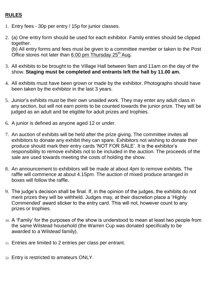#### **RULES**

- 1. Entry fees 30p per entry / 15p for junior classes.
- 2. (a) One entry form should be used for each exhibitor. Family entries should be clipped together.

(b) All entry forms and fees must be given to a committee member or taken to the Post Office stores not later than  $6:00$  pm Thursday 25<sup>th</sup> Aug.

- 3. All exhibits to be brought to the Village Hall between 9am and 11am on the day of the show. **Staging must be completed and entrants left the hall by 11.00 am.**
- 4. All exhibits must have been grown or made by the exhibitor. Photographs should have been taken by the exhibitor in the last 3 years.
- 5. Junior's exhibits must be their own unaided work. They may enter any adult class in any section, but will not earn points to be counted towards the junior prize. They will be judged as an adult and be eligible for adult prizes and trophies.
- 6. A junior is defined as anyone aged 12 or under.
- 7. An auction of exhibits will be held after the prize giving. The committee invites all exhibitors to donate any exhibit they can spare. Exhibitors not wishing to donate their produce should mark their entry cards 'NOT FOR SALE'. It is the exhibitor's responsibility to remove exhibits not to be included in the auction. The proceeds of the sale are used towards meeting the costs of holding the show.
- 8. An announcement to exhibitors will be made at about 4pm to remove exhibits. The raffle will commence at about 4.15pm. The auction of mixed produce arranged in boxes will follow the raffle.
- 9. The judge's decision shall be final. If, in the opinion of the judges, the exhibits do not merit prizes they will be withheld. Judges may, at their discretion place a 'Highly Commended' award sticker to the entry card. This will not, however count to any prizes or trophies.
- 10. A 'Family' for the purposes of the show is understood to mean at least two people from the same Wilstead household (the Warren Cup was donated specifically to be awarded to a Wilstead family).
- 11. Entries are limited to 2 entries per class per entrant.
- 12. Entry is restricted to amateurs ONLY.